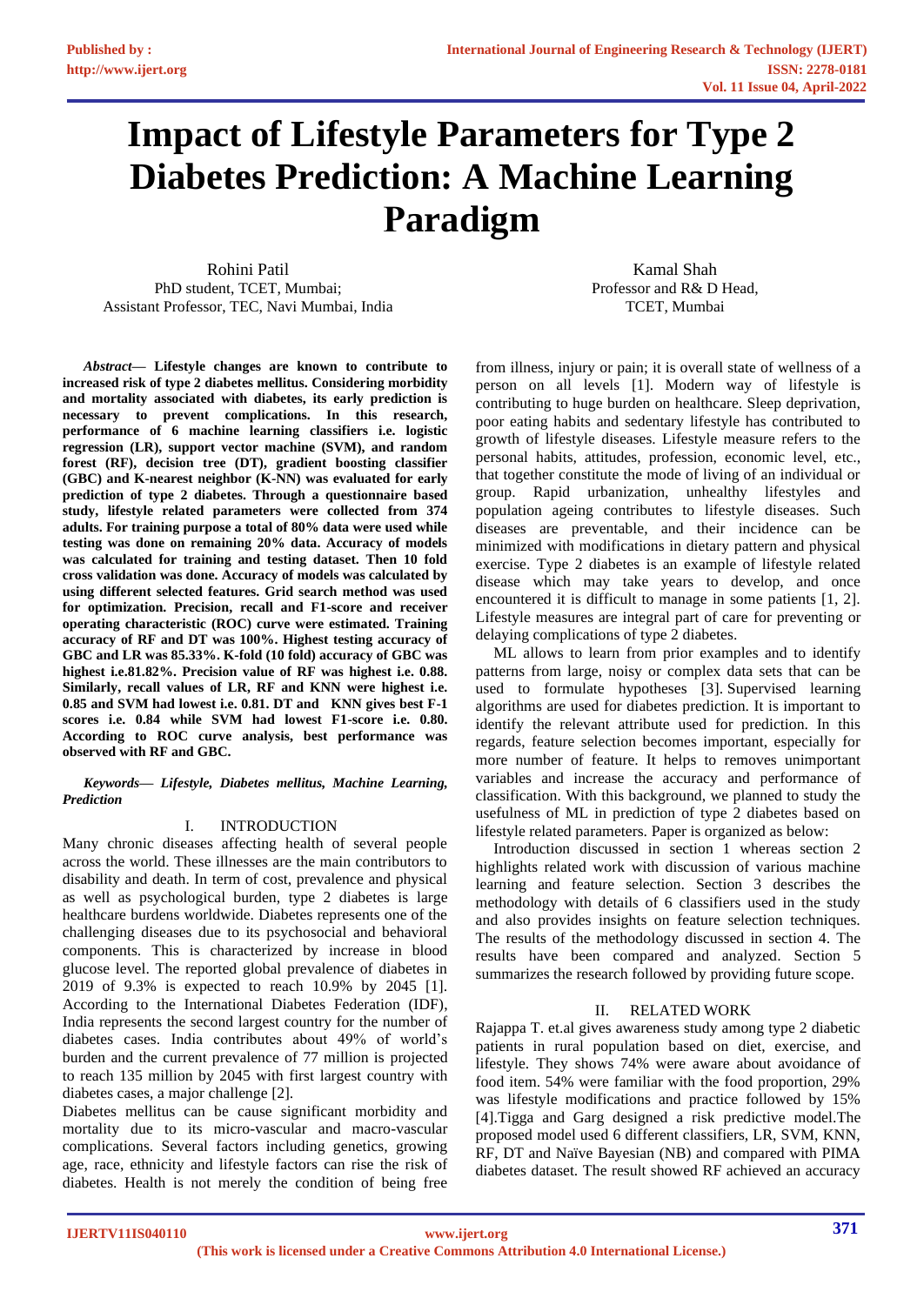# **Impact of Lifestyle Parameters for Type 2 Diabetes Prediction: A Machine Learning Paradigm**

Rohini Patil PhD student, TCET, Mumbai; Assistant Professor, TEC, Navi Mumbai, India

Kamal Shah Professor and R& D Head, TCET, Mumbai

*Abstract***— Lifestyle changes are known to contribute to increased risk of type 2 diabetes mellitus. Considering morbidity and mortality associated with diabetes, its early prediction is necessary to prevent complications. In this research, performance of 6 machine learning classifiers i.e. logistic regression (LR), support vector machine (SVM), and random forest (RF), decision tree (DT), gradient boosting classifier (GBC) and K-nearest neighbor (K-NN) was evaluated for early prediction of type 2 diabetes. Through a questionnaire based study, lifestyle related parameters were collected from 374 adults. For training purpose a total of 80% data were used while testing was done on remaining 20% data. Accuracy of models was calculated for training and testing dataset. Then 10 fold cross validation was done. Accuracy of models was calculated by using different selected features. Grid search method was used for optimization. Precision, recall and F1-score and receiver operating characteristic (ROC) curve were estimated. Training accuracy of RF and DT was 100%. Highest testing accuracy of GBC and LR was 85.33%. K-fold (10 fold) accuracy of GBC was highest i.e.81.82%. Precision value of RF was highest i.e. 0.88. Similarly, recall values of LR, RF and KNN were highest i.e. 0.85 and SVM had lowest i.e. 0.81. DT and KNN gives best F-1 scores i.e. 0.84 while SVM had lowest F1-score i.e. 0.80. According to ROC curve analysis, best performance was observed with RF and GBC.**

## *Keywords— Lifestyle, Diabetes mellitus, Machine Learning, Prediction*

# I. INTRODUCTION

Many chronic diseases affecting health of several people across the world. These illnesses are the main contributors to disability and death. In term of cost, prevalence and physical as well as psychological burden, type 2 diabetes is large healthcare burdens worldwide. Diabetes represents one of the challenging diseases due to its psychosocial and behavioral components. This is characterized by increase in blood glucose level. The reported global prevalence of diabetes in 2019 of 9.3% is expected to reach 10.9% by 2045 [1]. According to the International Diabetes Federation (IDF), India represents the second largest country for the number of diabetes cases. India contributes about 49% of world's burden and the current prevalence of 77 million is projected to reach 135 million by 2045 with first largest country with diabetes cases, a major challenge [2].

Diabetes mellitus can be cause significant morbidity and mortality due to its micro-vascular and macro-vascular complications. Several factors including genetics, growing age, race, ethnicity and lifestyle factors can rise the risk of diabetes. Health is not merely the condition of being free

from illness, injury or pain; it is overall state of wellness of a person on all levels [1]. Modern way of lifestyle is contributing to huge burden on healthcare. Sleep deprivation, poor eating habits and sedentary lifestyle has contributed to growth of lifestyle diseases. Lifestyle measure refers to the personal habits, attitudes, profession, economic level, etc., that together constitute the mode of living of an individual or group. Rapid urbanization, unhealthy lifestyles and population ageing contributes to lifestyle diseases. Such diseases are preventable, and their incidence can be minimized with modifications in dietary pattern and physical exercise. Type 2 diabetes is an example of lifestyle related disease which may take years to develop, and once encountered it is difficult to manage in some patients [1, 2]. Lifestyle measures are integral part of care for preventing or delaying complications of type 2 diabetes.

ML allows to learn from prior examples and to identify patterns from large, noisy or complex data sets that can be used to formulate hypotheses [3]. Supervised learning algorithms are used for diabetes prediction. It is important to identify the relevant attribute used for prediction. In this regards, feature selection becomes important, especially for more number of feature. It helps to removes unimportant variables and increase the accuracy and performance of classification. With this background, we planned to study the usefulness of ML in prediction of type 2 diabetes based on lifestyle related parameters. Paper is organized as below:

Introduction discussed in section 1 whereas section 2 highlights related work with discussion of various machine learning and feature selection. Section 3 describes the methodology with details of 6 classifiers used in the study and also provides insights on feature selection techniques. The results of the methodology discussed in section 4. The results have been compared and analyzed. Section 5 summarizes the research followed by providing future scope.

# II. RELATED WORK

Rajappa T. et.al gives awareness study among type 2 diabetic patients in rural population based on diet, exercise, and lifestyle. They shows 74% were aware about avoidance of food item. 54% were familiar with the food proportion, 29% was lifestyle modifications and practice followed by 15% [4].Tigga and Garg designed a risk predictive model.The proposed model used 6 different classifiers, LR, SVM, KNN, RF, DT and Naïve Bayesian (NB) and compared with PIMA diabetes dataset. The result showed RF achieved an accuracy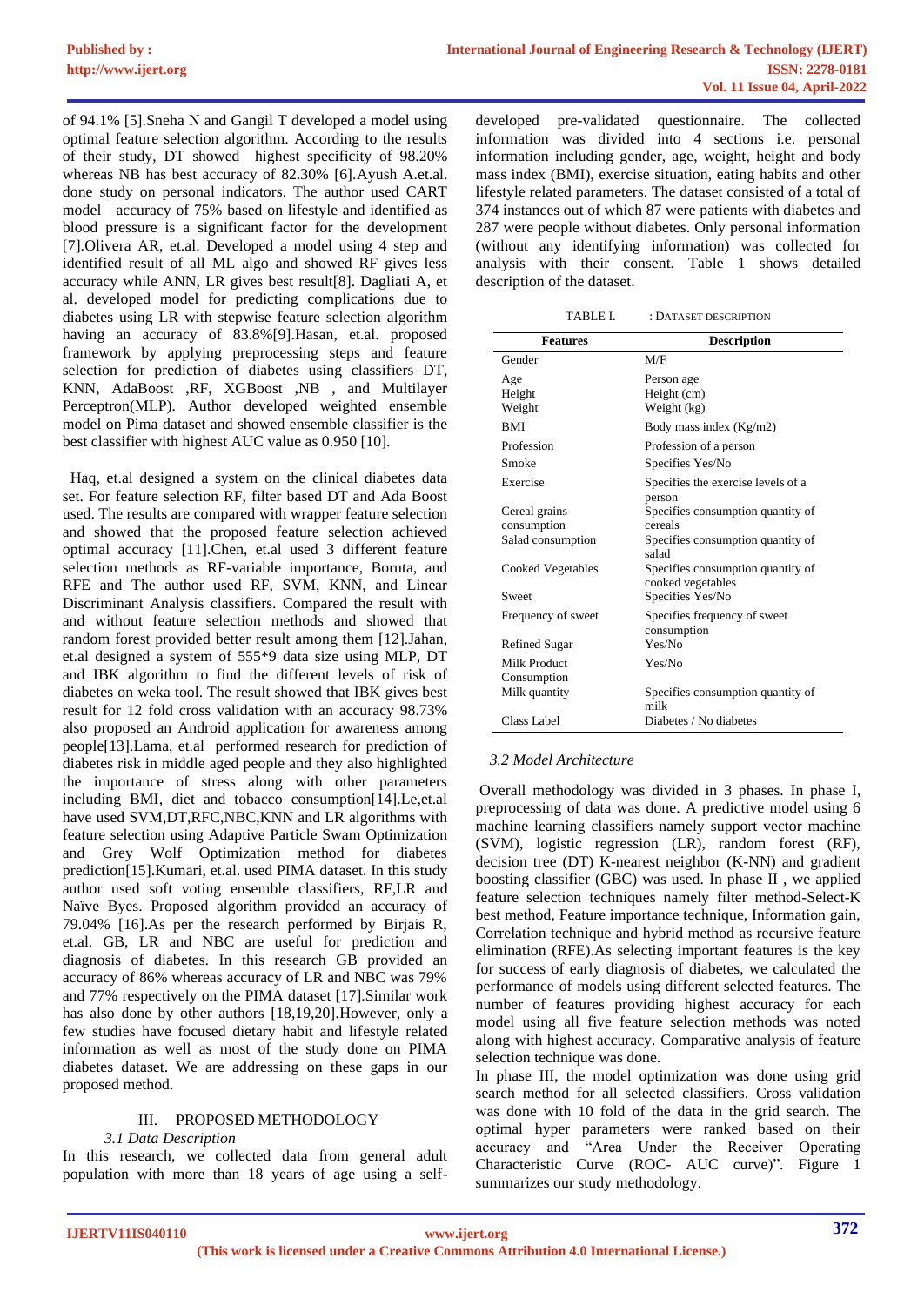of 94.1% [5].Sneha N and Gangil T developed a model using optimal feature selection algorithm. According to the results of their study, DT showed highest specificity of 98.20% whereas NB has best accuracy of 82.30% [6].Ayush A.et.al. done study on personal indicators. The author used CART model accuracy of 75% based on lifestyle and identified as blood pressure is a significant factor for the development [7].Olivera AR, et.al. Developed a model using 4 step and identified result of all ML algo and showed RF gives less accuracy while ANN, LR gives best result[8]. Dagliati A, et al. developed model for predicting complications due to diabetes using LR with stepwise feature selection algorithm having an accuracy of 83.8%[9].Hasan, et.al. proposed framework by applying preprocessing steps and feature selection for prediction of diabetes using classifiers DT, KNN, AdaBoost ,RF, XGBoost ,NB , and Multilayer Perceptron(MLP). Author developed weighted ensemble model on Pima dataset and showed ensemble classifier is the best classifier with highest AUC value as 0.950 [10].

 Haq, et.al designed a system on the clinical diabetes data set. For feature selection RF, filter based DT and Ada Boost used. The results are compared with wrapper feature selection and showed that the proposed feature selection achieved optimal accuracy [11].Chen, et.al used 3 different feature selection methods as RF-variable importance, Boruta, and RFE and The author used RF, SVM, KNN, and Linear Discriminant Analysis classifiers. Compared the result with and without feature selection methods and showed that random forest provided better result among them [12].Jahan, et.al designed a system of 555\*9 data size using MLP, DT and IBK algorithm to find the different levels of risk of diabetes on weka tool. The result showed that IBK gives best result for 12 fold cross validation with an accuracy 98.73% also proposed an Android application for awareness among people[13].Lama, et.al performed research for prediction of diabetes risk in middle aged people and they also highlighted the importance of stress along with other parameters including BMI, diet and tobacco consumption[14].Le,et.al have used SVM,DT,RFC,NBC,KNN and LR algorithms with feature selection using Adaptive Particle Swam Optimization and Grey Wolf Optimization method for diabetes prediction[15].Kumari, et.al. used PIMA dataset. In this study author used soft voting ensemble classifiers, RF,LR and Naïve Byes. Proposed algorithm provided an accuracy of 79.04% [16].As per the research performed by Birjais R, et.al. GB, LR and NBC are useful for prediction and diagnosis of diabetes. In this research GB provided an accuracy of 86% whereas accuracy of LR and NBC was 79% and 77% respectively on the PIMA dataset [17].Similar work has also done by other authors [18,19,20].However, only a few studies have focused dietary habit and lifestyle related information as well as most of the study done on PIMA diabetes dataset. We are addressing on these gaps in our proposed method.

# III. PROPOSED METHODOLOGY

## *3.1 Data Description*

In this research, we collected data from general adult population with more than 18 years of age using a self-

developed pre-validated questionnaire. The collected information was divided into 4 sections i.e. personal information including gender, age, weight, height and body mass index (BMI), exercise situation, eating habits and other lifestyle related parameters. The dataset consisted of a total of 374 instances out of which 87 were patients with diabetes and 287 were people without diabetes. Only personal information (without any identifying information) was collected for analysis with their consent. Table 1 shows detailed description of the dataset.

TABLE I. : DATASET DESCRIPTION

| <b>Features</b>              | <b>Description</b>                                     |  |  |
|------------------------------|--------------------------------------------------------|--|--|
| Gender                       | M/F                                                    |  |  |
| Age<br>Height<br>Weight      | Person age<br>Height (cm)<br>Weight (kg)               |  |  |
| <b>BMI</b>                   | Body mass index (Kg/m2)                                |  |  |
| Profession                   | Profession of a person                                 |  |  |
| Smoke                        | Specifies Yes/No                                       |  |  |
| Exercise                     | Specifies the exercise levels of a<br>person           |  |  |
| Cereal grains<br>consumption | Specifies consumption quantity of<br>cereals           |  |  |
| Salad consumption            | Specifies consumption quantity of<br>salad             |  |  |
| Cooked Vegetables            | Specifies consumption quantity of<br>cooked vegetables |  |  |
| Sweet                        | Specifies Yes/No                                       |  |  |
| Frequency of sweet           | Specifies frequency of sweet<br>consumption            |  |  |
| Refined Sugar                | Yes/No                                                 |  |  |
| Milk Product<br>Consumption  | Yes/No                                                 |  |  |
| Milk quantity                | Specifies consumption quantity of<br>milk              |  |  |
| Class Label                  | Diabetes / No diabetes                                 |  |  |

## *3.2 Model Architecture*

Overall methodology was divided in 3 phases. In phase I, preprocessing of data was done. A predictive model using 6 machine learning classifiers namely support vector machine (SVM), logistic regression (LR), random forest (RF), decision tree (DT) K-nearest neighbor (K-NN) and gradient boosting classifier (GBC) was used. In phase II , we applied feature selection techniques namely filter method-Select-K best method, Feature importance technique, Information gain, Correlation technique and hybrid method as recursive feature elimination (RFE).As selecting important features is the key for success of early diagnosis of diabetes, we calculated the performance of models using different selected features. The number of features providing highest accuracy for each model using all five feature selection methods was noted along with highest accuracy. Comparative analysis of feature selection technique was done.

In phase III, the model optimization was done using grid search method for all selected classifiers. Cross validation was done with 10 fold of the data in the grid search. The optimal hyper parameters were ranked based on their accuracy and "Area Under the Receiver Operating Characteristic Curve (ROC- AUC curve)". Figure 1 summarizes our study methodology.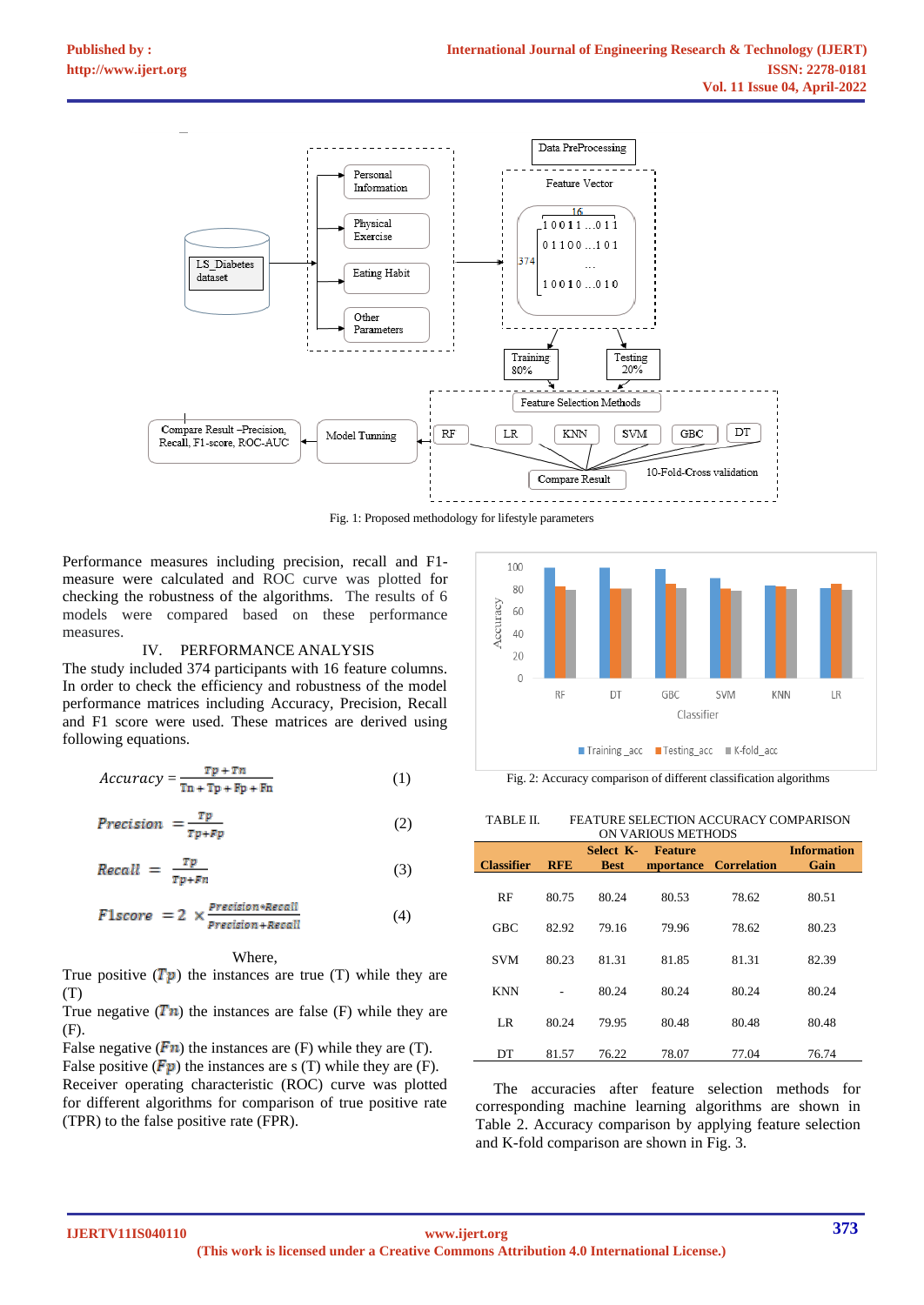

Fig. 1: Proposed methodology for lifestyle parameters

Performance measures including precision, recall and F1 measure were calculated and ROC curve was plotted for checking the robustness of the algorithms. The results of 6 models were compared based on these performance measures.

#### IV. PERFORMANCE ANALYSIS

The study included 374 participants with 16 feature columns. In order to check the efficiency and robustness of the model performance matrices including Accuracy, Precision, Recall and F1 score were used. These matrices are derived using following equations.

$$
Accuracy = \frac{\tau p + \tau n}{\tau n + \tau p + \epsilon p + \epsilon n}
$$
 (1)

$$
Precision = \frac{rp}{rp + rp} \tag{2}
$$

$$
Recall = \frac{rp}{rp + rn} \tag{3}
$$

$$
F1score = 2 \times \frac{Precision * Recall}{Precision + Recall}
$$
 (4)

## Where,

True positive  $(Tp)$  the instances are true (T) while they are (T)

True negative  $(Tn)$  the instances are false (F) while they are (F).

False negative  $(Fn)$  the instances are (F) while they are (T).

False positive  $(Fp)$  the instances are s (T) while they are (F). Receiver operating characteristic (ROC) curve was plotted for different algorithms for comparison of true positive rate (TPR) to the false positive rate (FPR).



Fig. 2: Accuracy comparison of different classification algorithms

#### TABLE II. FEATURE SELECTION ACCURACY COMPARISON ON VARIOUS METHODS

| <b>Classifier</b> | <b>RFE</b> | Select K-<br><b>Best</b> | Feature | mportance Correlation | <b>Information</b><br>Gain |
|-------------------|------------|--------------------------|---------|-----------------------|----------------------------|
| RF                | 80.75      | 80.24                    | 80.53   | 78.62                 | 80.51                      |
| <b>GBC</b>        | 82.92      | 79.16                    | 79.96   | 78.62                 | 80.23                      |
| <b>SVM</b>        | 80.23      | 81.31                    | 81.85   | 81.31                 | 82.39                      |
|                   |            |                          |         |                       |                            |
| <b>KNN</b>        |            | 80.24                    | 80.24   | 80.24                 | 80.24                      |
| LR.               | 80.24      | 79.95                    | 80.48   | 80.48                 | 80.48                      |
| DT                | 81.57      | 76.22                    | 78.07   | 77.04                 | 76.74                      |

The accuracies after feature selection methods for corresponding machine learning algorithms are shown in Table 2. Accuracy comparison by applying feature selection and K-fold comparison are shown in Fig. 3.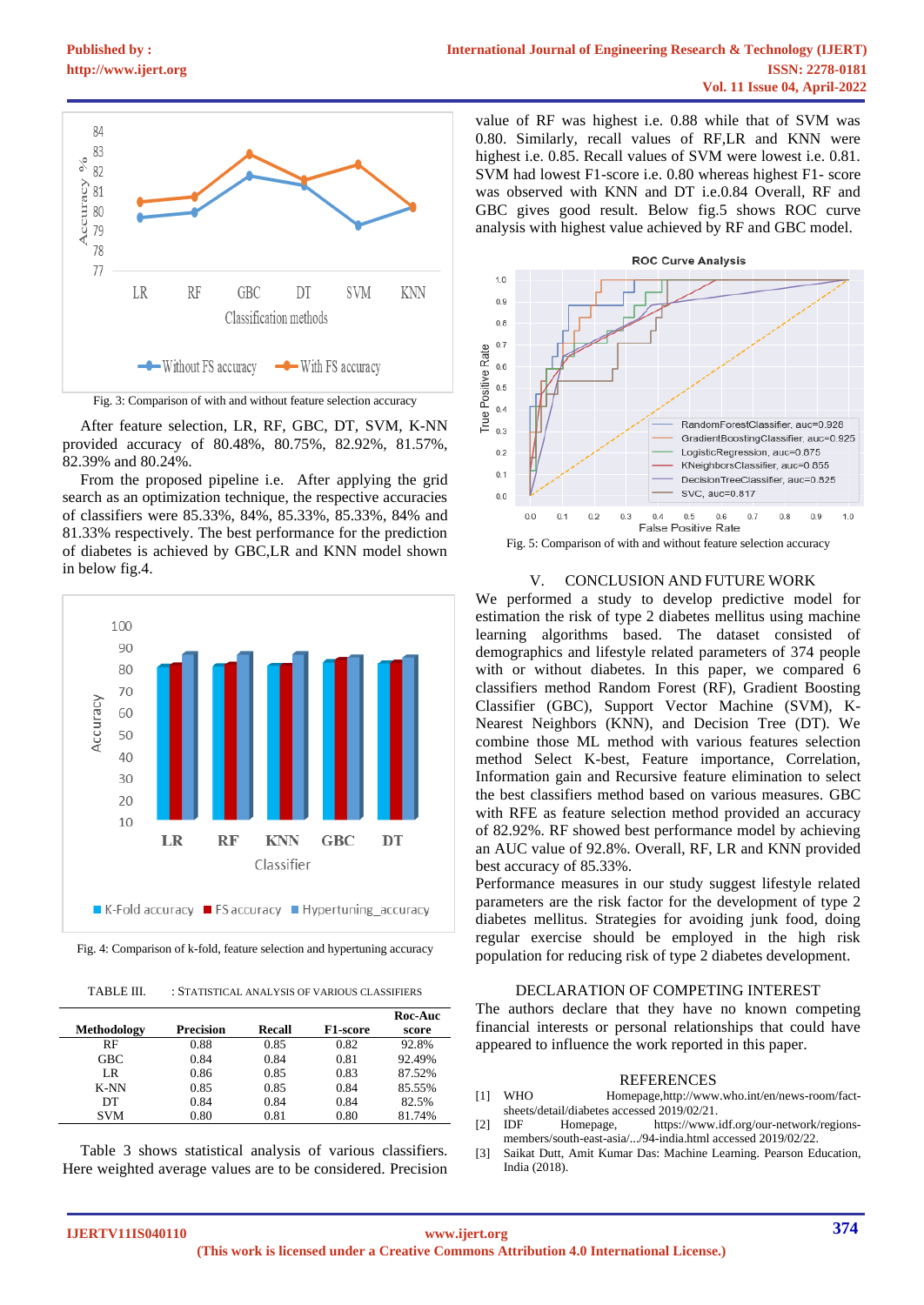



Fig. 3: Comparison of with and without feature selection accuracy

After feature selection, LR, RF, GBC, DT, SVM, K-NN provided accuracy of 80.48%, 80.75%, 82.92%, 81.57%, 82.39% and 80.24%.

From the proposed pipeline i.e. After applying the grid search as an optimization technique, the respective accuracies of classifiers were 85.33%, 84%, 85.33%, 85.33%, 84% and 81.33% respectively. The best performance for the prediction of diabetes is achieved by GBC,LR and KNN model shown in below fig.4.



Fig. 4: Comparison of k-fold, feature selection and hypertuning accuracy

TABLE III. : STATISTICAL ANALYSIS OF VARIOUS CLASSIFIERS

|             |                  |        |          | Roc-Auc |
|-------------|------------------|--------|----------|---------|
| Methodology | <b>Precision</b> | Recall | F1-score | score   |
| RF          | 0.88             | 0.85   | 0.82     | 92.8%   |
| <b>GBC</b>  | 0.84             | 0.84   | 0.81     | 92.49%  |
| LR          | 0.86             | 0.85   | 0.83     | 87.52%  |
| K-NN        | 0.85             | 0.85   | 0.84     | 85.55%  |
| DТ          | 0.84             | 0.84   | 0.84     | 82.5%   |
| <b>SVM</b>  | 0.80             | 0.81   | 0.80     | 81.74%  |

Table 3 shows statistical analysis of various classifiers. Here weighted average values are to be considered. Precision

value of RF was highest i.e. 0.88 while that of SVM was 0.80. Similarly, recall values of RF,LR and KNN were highest i.e. 0.85. Recall values of SVM were lowest i.e. 0.81. SVM had lowest F1-score i.e. 0.80 whereas highest F1- score was observed with KNN and DT i.e.0.84 Overall, RF and GBC gives good result. Below fig.5 shows ROC curve analysis with highest value achieved by RF and GBC model.



### V. CONCLUSION AND FUTURE WORK

We performed a study to develop predictive model for estimation the risk of type 2 diabetes mellitus using machine learning algorithms based. The dataset consisted of demographics and lifestyle related parameters of 374 people with or without diabetes. In this paper, we compared 6 classifiers method Random Forest (RF), Gradient Boosting Classifier (GBC), Support Vector Machine (SVM), K-Nearest Neighbors (KNN), and Decision Tree (DT). We combine those ML method with various features selection method Select K-best, Feature importance, Correlation, Information gain and Recursive feature elimination to select the best classifiers method based on various measures. GBC with RFE as feature selection method provided an accuracy of 82.92%. RF showed best performance model by achieving an AUC value of 92.8%. Overall, RF, LR and KNN provided best accuracy of 85.33%.

Performance measures in our study suggest lifestyle related parameters are the risk factor for the development of type 2 diabetes mellitus. Strategies for avoiding junk food, doing regular exercise should be employed in the high risk population for reducing risk of type 2 diabetes development.

# DECLARATION OF COMPETING INTEREST

The authors declare that they have no known competing financial interests or personal relationships that could have appeared to influence the work reported in this paper.

#### REFERENCES

- [1] WHO Homepag[e,http://www.who.int/en/news-room/fact](http://www.who.int/en/news-room/fact-sheets/detail/diabetes%20accessed%202019/02/21.)[sheets/detail/diabetes accessed 2019/02/21.](http://www.who.int/en/news-room/fact-sheets/detail/diabetes%20accessed%202019/02/21.)<br>IDF Homenage. https://www
- [2] IDF Homepage, [https://www.idf.org/our-network/regions](https://www.idf.org/our-network/regions-members/south-east-asia/.../94-india.html%20accessed%20on%2022nd)[members/south-east-asia/.../94-india.html accessed 2](https://www.idf.org/our-network/regions-members/south-east-asia/.../94-india.html%20accessed%20on%2022nd)019/02/22.
- [3] Saikat Dutt, Amit Kumar Das: Machine Learning. Pearson Education, India (2018).

**IJERTV11IS040110**